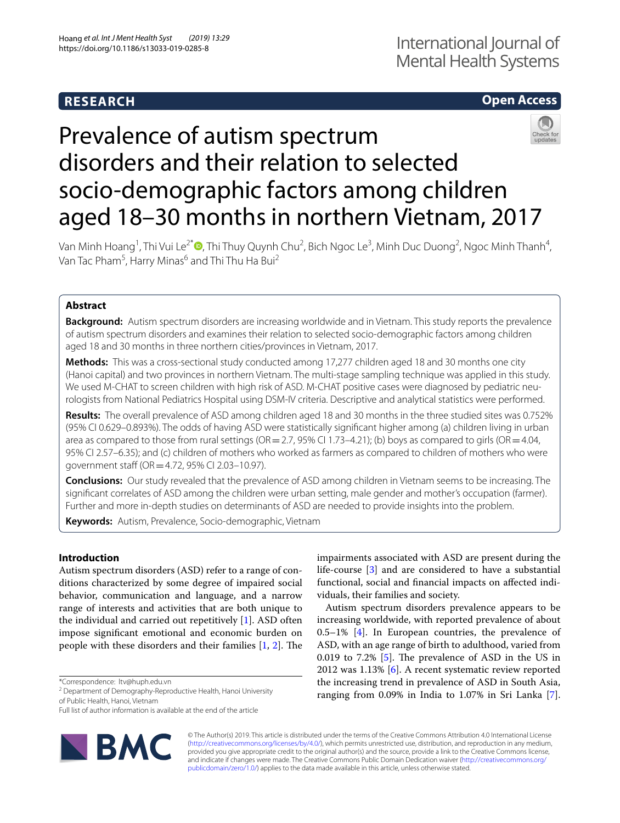# **RESEARCH**

# **Open Access**

# Prevalence of autism spectrum disorders and their relation to selected socio-demographic factors among children aged 18–30 months in northern Vietnam, 2017

Van Minh Hoang<sup>1</sup>[,](http://orcid.org/0000-0002-5667-0156) Thi Vui Le<sup>2\*</sup>❶, Thi Thuy Quynh Chu<sup>2</sup>, Bich Ngoc Le<sup>3</sup>, Minh Duc Duong<sup>2</sup>, Ngoc Minh Thanh<sup>4</sup>, Van Tac Pham<sup>5</sup>, Harry Minas<sup>6</sup> and Thi Thu Ha Bui<sup>2</sup>

## **Abstract**

**Background:** Autism spectrum disorders are increasing worldwide and in Vietnam. This study reports the prevalence of autism spectrum disorders and examines their relation to selected socio-demographic factors among children aged 18 and 30 months in three northern cities/provinces in Vietnam, 2017.

**Methods:** This was a cross-sectional study conducted among 17,277 children aged 18 and 30 months one city (Hanoi capital) and two provinces in northern Vietnam. The multi-stage sampling technique was applied in this study. We used M-CHAT to screen children with high risk of ASD. M-CHAT positive cases were diagnosed by pediatric neurologists from National Pediatrics Hospital using DSM-IV criteria. Descriptive and analytical statistics were performed.

**Results:** The overall prevalence of ASD among children aged 18 and 30 months in the three studied sites was 0.752% (95% CI 0.629–0.893%). The odds of having ASD were statistically signifcant higher among (a) children living in urban area as compared to those from rural settings (OR=2.7, 95% CI 1.73–4.21); (b) boys as compared to girls (OR=4.04, 95% CI 2.57–6.35); and (c) children of mothers who worked as farmers as compared to children of mothers who were government staff (OR = 4.72, 95% CI 2.03-10.97).

**Conclusions:** Our study revealed that the prevalence of ASD among children in Vietnam seems to be increasing. The signifcant correlates of ASD among the children were urban setting, male gender and mother's occupation (farmer). Further and more in-depth studies on determinants of ASD are needed to provide insights into the problem.

**Keywords:** Autism, Prevalence, Socio-demographic, Vietnam

## **Introduction**

Autism spectrum disorders (ASD) refer to a range of conditions characterized by some degree of impaired social behavior, communication and language, and a narrow range of interests and activities that are both unique to the individual and carried out repetitively [\[1](#page-7-0)]. ASD often impose signifcant emotional and economic burden on people with these disorders and their families  $[1, 2]$  $[1, 2]$  $[1, 2]$  $[1, 2]$ . The

\*Correspondence: ltv@huph.edu.vn

<sup>2</sup> Department of Demography-Reproductive Health, Hanoi University of Public Health, Hanoi, Vietnam

Full list of author information is available at the end of the article



impairments associated with ASD are present during the life-course [[3\]](#page-7-2) and are considered to have a substantial functional, social and fnancial impacts on afected individuals, their families and society.

Autism spectrum disorders prevalence appears to be increasing worldwide, with reported prevalence of about  $0.5-1\%$  [[4\]](#page-7-3). In European countries, the prevalence of ASD, with an age range of birth to adulthood, varied from 0.019 to 7.2%  $[5]$  $[5]$ . The prevalence of ASD in the US in 2012 was 1.13% [\[6](#page-7-5)]. A recent systematic review reported the increasing trend in prevalence of ASD in South Asia, ranging from 0.09% in India to 1.07% in Sri Lanka [\[7](#page-7-6)].

© The Author(s) 2019. This article is distributed under the terms of the Creative Commons Attribution 4.0 International License [\(http://creativecommons.org/licenses/by/4.0/\)](http://creativecommons.org/licenses/by/4.0/), which permits unrestricted use, distribution, and reproduction in any medium, provided you give appropriate credit to the original author(s) and the source, provide a link to the Creative Commons license, and indicate if changes were made. The Creative Commons Public Domain Dedication waiver ([http://creativecommons.org/](http://creativecommons.org/publicdomain/zero/1.0/) [publicdomain/zero/1.0/](http://creativecommons.org/publicdomain/zero/1.0/)) applies to the data made available in this article, unless otherwise stated.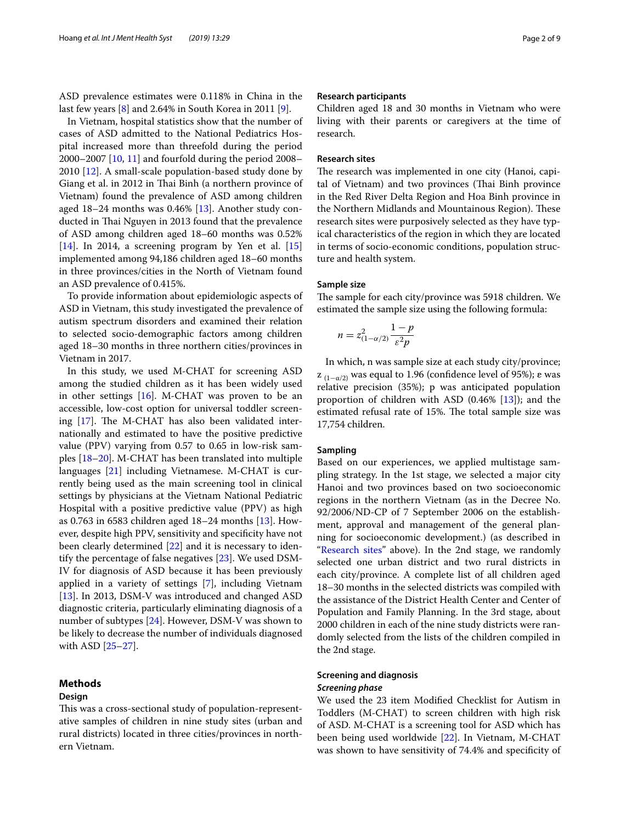ASD prevalence estimates were 0.118% in China in the last few years [[8](#page-7-7)] and 2.64% in South Korea in 2011 [[9\]](#page-7-8).

In Vietnam, hospital statistics show that the number of cases of ASD admitted to the National Pediatrics Hospital increased more than threefold during the period 2000–2007 [[10](#page-7-9), [11\]](#page-7-10) and fourfold during the period 2008– 2010 [\[12](#page-7-11)]. A small-scale population-based study done by Giang et al. in 2012 in Thai Binh (a northern province of Vietnam) found the prevalence of ASD among children aged 18–24 months was 0.46% [[13\]](#page-7-12). Another study conducted in Thai Nguyen in 2013 found that the prevalence of ASD among children aged 18–60 months was 0.52%  $[14]$  $[14]$ . In 2014, a screening program by Yen et al.  $[15]$  $[15]$  $[15]$ implemented among 94,186 children aged 18–60 months in three provinces/cities in the North of Vietnam found an ASD prevalence of 0.415%.

To provide information about epidemiologic aspects of ASD in Vietnam, this study investigated the prevalence of autism spectrum disorders and examined their relation to selected socio-demographic factors among children aged 18–30 months in three northern cities/provinces in Vietnam in 2017.

In this study, we used M-CHAT for screening ASD among the studied children as it has been widely used in other settings [\[16](#page-7-15)]. M-CHAT was proven to be an accessible, low-cost option for universal toddler screening  $[17]$  $[17]$ . The M-CHAT has also been validated internationally and estimated to have the positive predictive value (PPV) varying from 0.57 to 0.65 in low-risk samples [[18](#page-7-17)[–20](#page-7-18)]. M-CHAT has been translated into multiple languages [\[21](#page-7-19)] including Vietnamese. M-CHAT is currently being used as the main screening tool in clinical settings by physicians at the Vietnam National Pediatric Hospital with a positive predictive value (PPV) as high as 0.763 in 6583 children aged 18–24 months [\[13](#page-7-12)]. However, despite high PPV, sensitivity and specifcity have not been clearly determined [[22\]](#page-7-20) and it is necessary to identify the percentage of false negatives [\[23](#page-7-21)]. We used DSM-IV for diagnosis of ASD because it has been previously applied in a variety of settings [[7\]](#page-7-6), including Vietnam [[13\]](#page-7-12). In 2013, DSM-V was introduced and changed ASD diagnostic criteria, particularly eliminating diagnosis of a number of subtypes [\[24](#page-7-22)]. However, DSM-V was shown to be likely to decrease the number of individuals diagnosed with ASD [\[25–](#page-7-23)[27\]](#page-7-24).

## **Methods**

## **Design**

This was a cross-sectional study of population-representative samples of children in nine study sites (urban and rural districts) located in three cities/provinces in northern Vietnam.

#### **Research participants**

Children aged 18 and 30 months in Vietnam who were living with their parents or caregivers at the time of research.

## <span id="page-1-0"></span>**Research sites**

The research was implemented in one city (Hanoi, capital of Vietnam) and two provinces (Thai Binh province in the Red River Delta Region and Hoa Binh province in the Northern Midlands and Mountainous Region). These research sites were purposively selected as they have typical characteristics of the region in which they are located in terms of socio-economic conditions, population structure and health system.

### **Sample size**

The sample for each city/province was 5918 children. We estimated the sample size using the following formula:

$$
n = z_{(1-\alpha/2)}^2 \frac{1-p}{\varepsilon^2 p}
$$

In which, n was sample size at each study city/province;  $z_{(1-\alpha/2)}$  was equal to 1.96 (confidence level of 95%); ε was relative precision (35%); p was anticipated population proportion of children with ASD  $(0.46\%$  [[13\]](#page-7-12)); and the estimated refusal rate of 15%. The total sample size was 17,754 children.

## **Sampling**

Based on our experiences, we applied multistage sampling strategy. In the 1st stage, we selected a major city Hanoi and two provinces based on two socioeconomic regions in the northern Vietnam (as in the Decree No. 92/2006/ND-CP of 7 September 2006 on the establishment, approval and management of the general planning for socioeconomic development.) (as described in ["Research sites](#page-1-0)" above). In the 2nd stage, we randomly selected one urban district and two rural districts in each city/province. A complete list of all children aged 18–30 months in the selected districts was compiled with the assistance of the District Health Center and Center of Population and Family Planning. In the 3rd stage, about 2000 children in each of the nine study districts were randomly selected from the lists of the children compiled in the 2nd stage.

## **Screening and diagnosis** *Screening phase*

We used the 23 item Modifed Checklist for Autism in Toddlers (M-CHAT) to screen children with high risk of ASD. M-CHAT is a screening tool for ASD which has been being used worldwide [[22](#page-7-20)]. In Vietnam, M-CHAT was shown to have sensitivity of 74.4% and specifcity of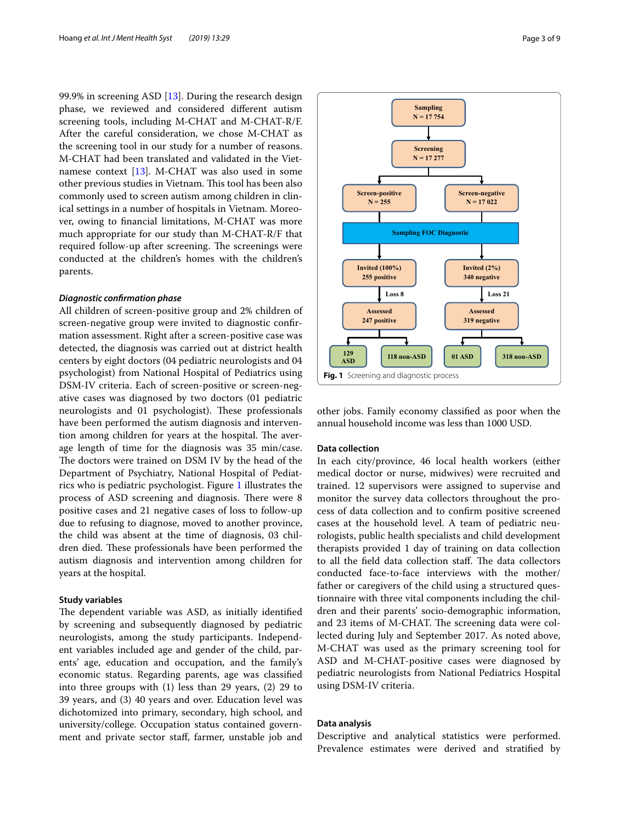99.9% in screening ASD [\[13](#page-7-12)]. During the research design phase, we reviewed and considered diferent autism screening tools, including M-CHAT and M-CHAT-R/F. After the careful consideration, we chose M-CHAT as the screening tool in our study for a number of reasons. M-CHAT had been translated and validated in the Vietnamese context [[13\]](#page-7-12). M-CHAT was also used in some other previous studies in Vietnam. This tool has been also commonly used to screen autism among children in clinical settings in a number of hospitals in Vietnam. Moreover, owing to fnancial limitations, M-CHAT was more much appropriate for our study than M-CHAT-R/F that required follow-up after screening. The screenings were conducted at the children's homes with the children's parents.

### *Diagnostic confrmation phase*

All children of screen-positive group and 2% children of screen-negative group were invited to diagnostic confrmation assessment. Right after a screen-positive case was detected, the diagnosis was carried out at district health centers by eight doctors (04 pediatric neurologists and 04 psychologist) from National Hospital of Pediatrics using DSM-IV criteria. Each of screen-positive or screen-negative cases was diagnosed by two doctors (01 pediatric neurologists and 01 psychologist). These professionals have been performed the autism diagnosis and intervention among children for years at the hospital. The average length of time for the diagnosis was 35 min/case. The doctors were trained on DSM IV by the head of the Department of Psychiatry, National Hospital of Pediatrics who is pediatric psychologist. Figure [1](#page-2-0) illustrates the process of ASD screening and diagnosis. There were 8 positive cases and 21 negative cases of loss to follow-up due to refusing to diagnose, moved to another province, the child was absent at the time of diagnosis, 03 children died. These professionals have been performed the autism diagnosis and intervention among children for years at the hospital.

## **Study variables**

The dependent variable was ASD, as initially identified by screening and subsequently diagnosed by pediatric neurologists, among the study participants. Independent variables included age and gender of the child, parents' age, education and occupation, and the family's economic status. Regarding parents, age was classifed into three groups with (1) less than 29 years, (2) 29 to 39 years, and (3) 40 years and over. Education level was dichotomized into primary, secondary, high school, and university/college. Occupation status contained government and private sector staf, farmer, unstable job and



<span id="page-2-0"></span>other jobs. Family economy classifed as poor when the annual household income was less than 1000 USD.

## **Data collection**

In each city/province, 46 local health workers (either medical doctor or nurse, midwives) were recruited and trained. 12 supervisors were assigned to supervise and monitor the survey data collectors throughout the process of data collection and to confrm positive screened cases at the household level. A team of pediatric neurologists, public health specialists and child development therapists provided 1 day of training on data collection to all the field data collection staff. The data collectors conducted face-to-face interviews with the mother/ father or caregivers of the child using a structured questionnaire with three vital components including the children and their parents' socio-demographic information, and 23 items of M-CHAT. The screening data were collected during July and September 2017. As noted above, M-CHAT was used as the primary screening tool for ASD and M-CHAT-positive cases were diagnosed by pediatric neurologists from National Pediatrics Hospital using DSM-IV criteria.

## **Data analysis**

Descriptive and analytical statistics were performed. Prevalence estimates were derived and stratifed by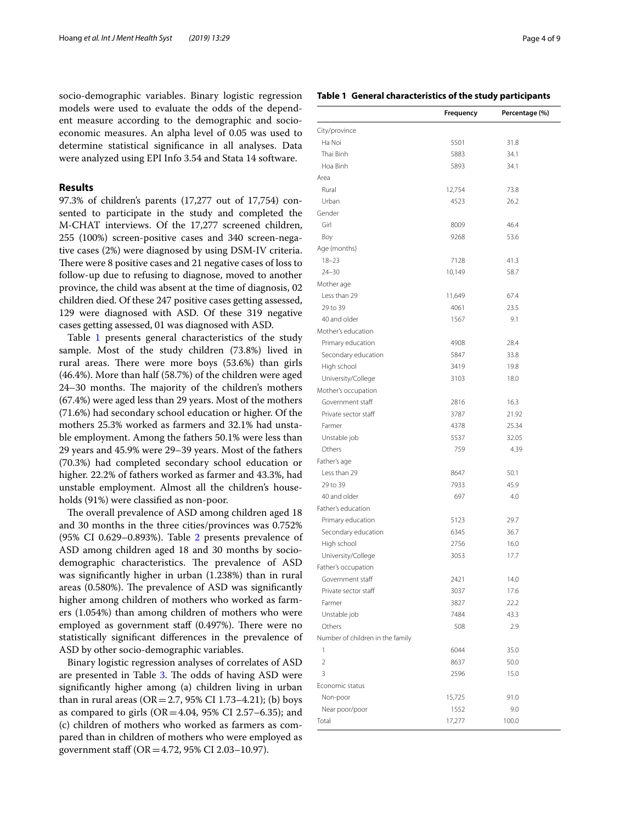socio-demographic variables. Binary logistic regression models were used to evaluate the odds of the dependent measure according to the demographic and socioeconomic measures. An alpha level of 0.05 was used to determine statistical signifcance in all analyses. Data were analyzed using EPI Info 3.54 and Stata 14 software.

## **Results**

97.3% of children's parents (17,277 out of 17,754) consented to participate in the study and completed the M-CHAT interviews. Of the 17,277 screened children, 255 (100%) screen-positive cases and 340 screen-negative cases (2%) were diagnosed by using DSM-IV criteria. There were 8 positive cases and 21 negative cases of loss to follow-up due to refusing to diagnose, moved to another province, the child was absent at the time of diagnosis, 02 children died. Of these 247 positive cases getting assessed, 129 were diagnosed with ASD. Of these 319 negative cases getting assessed, 01 was diagnosed with ASD.

Table [1](#page-3-0) presents general characteristics of the study sample. Most of the study children (73.8%) lived in rural areas. There were more boys (53.6%) than girls (46.4%). More than half (58.7%) of the children were aged 24–30 months. The majority of the children's mothers (67.4%) were aged less than 29 years. Most of the mothers (71.6%) had secondary school education or higher. Of the mothers 25.3% worked as farmers and 32.1% had unstable employment. Among the fathers 50.1% were less than 29 years and 45.9% were 29–39 years. Most of the fathers (70.3%) had completed secondary school education or higher. 22.2% of fathers worked as farmer and 43.3%, had unstable employment. Almost all the children's households (91%) were classifed as non-poor.

The overall prevalence of ASD among children aged 18 and 30 months in the three cities/provinces was 0.752% (95% CI 0.629–0.893%). Table [2](#page-4-0) presents prevalence of ASD among children aged 18 and 30 months by sociodemographic characteristics. The prevalence of ASD was signifcantly higher in urban (1.238%) than in rural areas  $(0.580\%)$ . The prevalence of ASD was significantly higher among children of mothers who worked as farmers (1.054%) than among children of mothers who were employed as government staff  $(0.497%)$ . There were no statistically signifcant diferences in the prevalence of ASD by other socio-demographic variables.

Binary logistic regression analyses of correlates of ASD are presented in Table [3](#page-5-0). The odds of having ASD were signifcantly higher among (a) children living in urban than in rural areas ( $OR = 2.7$ , 95% CI 1.73–4.21); (b) boys as compared to girls  $(OR = 4.04, 95\% \text{ CI } 2.57-6.35)$ ; and (c) children of mothers who worked as farmers as compared than in children of mothers who were employed as government staf (OR=4.72, 95% CI 2.03–10.97).

## <span id="page-3-0"></span>**Table 1 General characteristics of the study participants**

|                                  | Frequency | Percentage (%) |
|----------------------------------|-----------|----------------|
| City/province                    |           |                |
| Ha Noi                           | 5501      | 31.8           |
| Thai Binh                        | 5883      | 34.1           |
| Hoa Binh                         | 5893      | 34.1           |
| Area                             |           |                |
| Rural                            | 12,754    | 73.8           |
| Urban                            | 4523      | 26.2           |
| Gender                           |           |                |
| Girl                             | 8009      | 46.4           |
| Boy                              | 9268      | 53.6           |
| Age (months)                     |           |                |
| $18 - 23$                        | 7128      | 41.3           |
| $24 - 30$                        | 10,149    | 58.7           |
| Mother age                       |           |                |
| Less than 29                     | 11,649    | 67.4           |
| 29 to 39                         | 4061      | 23.5           |
| 40 and older                     | 1567      | 9.1            |
| Mother's education               |           |                |
| Primary education                | 4908      | 28.4           |
| Secondary education              | 5847      | 33.8           |
| High school                      | 3419      | 19.8           |
| University/College               | 3103      | 18.0           |
| Mother's occupation              |           |                |
| Government staff                 | 2816      | 16.3           |
| Private sector staff             | 3787      | 21.92          |
| Farmer                           | 4378      | 25.34          |
| Unstable job                     | 5537      | 32.05          |
| Others                           | 759       | 4.39           |
| Father's age                     |           |                |
| Less than 29                     | 8647      | 50.1           |
| 29 to 39                         | 7933      | 45.9           |
| 40 and older                     | 697       | 4.0            |
| Father's education               |           |                |
| Primary education                | 5123      | 29.7           |
| Secondary education              | 6345      | 36.7           |
| High school                      | 2756      | 16.0           |
| University/College               | 3053      | 17.7           |
| Father's occupation              |           |                |
| Government staff                 | 2421      | 14.0           |
| Private sector staff             | 3037      | 17.6           |
| Farmer                           | 3827      | 22.2           |
| Unstable job                     | 7484      | 43.3           |
| Others                           | 508       | 2.9            |
| Number of children in the family |           |                |
| 1                                | 6044      | 35.0           |
| $\overline{2}$                   | 8637      | 50.0           |
| 3                                | 2596      | 15.0           |
| Economic status                  |           |                |
| Non-poor                         | 15,725    | 91.0           |
| Near poor/poor                   | 1552      | 9.0            |
| Total                            | 17,277    | 100.0          |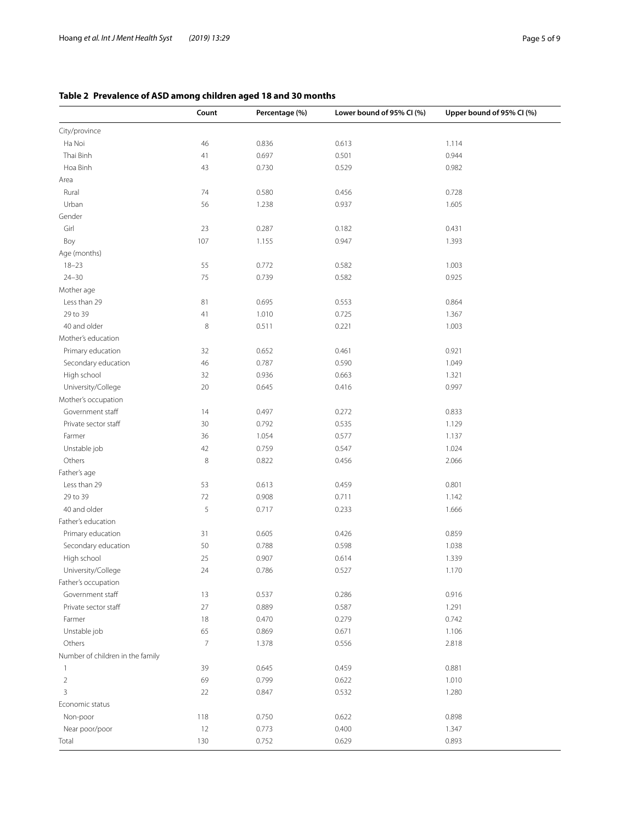## <span id="page-4-0"></span>**Table 2 Prevalence of ASD among children aged 18 and 30 months**

|                                  | Count          | Percentage (%) | Lower bound of 95% CI (%) | Upper bound of 95% CI (%) |
|----------------------------------|----------------|----------------|---------------------------|---------------------------|
| City/province                    |                |                |                           |                           |
| Ha Noi                           | 46             | 0.836          | 0.613                     | 1.114                     |
| Thai Binh                        | 41             | 0.697          | 0.501                     | 0.944                     |
| Hoa Binh                         | 43             | 0.730          | 0.529                     | 0.982                     |
| Area                             |                |                |                           |                           |
| Rural                            | 74             | 0.580          | 0.456                     | 0.728                     |
| Urban                            | 56             | 1.238          | 0.937                     | 1.605                     |
| Gender                           |                |                |                           |                           |
| Girl                             | 23             | 0.287          | 0.182                     | 0.431                     |
| Boy                              | 107            | 1.155          | 0.947                     | 1.393                     |
| Age (months)                     |                |                |                           |                           |
| $18 - 23$                        | 55             | 0.772          | 0.582                     | 1.003                     |
| $24 - 30$                        | 75             | 0.739          | 0.582                     | 0.925                     |
| Mother age                       |                |                |                           |                           |
| Less than 29                     | 81             | 0.695          | 0.553                     | 0.864                     |
| 29 to 39                         | 41             | 1.010          | 0.725                     | 1.367                     |
| 40 and older                     | $\,8\,$        | 0.511          | 0.221                     | 1.003                     |
| Mother's education               |                |                |                           |                           |
| Primary education                | 32             | 0.652          | 0.461                     | 0.921                     |
| Secondary education              | 46             | 0.787          | 0.590                     | 1.049                     |
| High school                      | 32             | 0.936          | 0.663                     | 1.321                     |
| University/College               | 20             | 0.645          | 0.416                     | 0.997                     |
| Mother's occupation              |                |                |                           |                           |
| Government staff                 | 14             | 0.497          | 0.272                     | 0.833                     |
| Private sector staff             | 30             | 0.792          | 0.535                     | 1.129                     |
| Farmer                           | 36             | 1.054          | 0.577                     | 1.137                     |
| Unstable job                     | 42             | 0.759          | 0.547                     | 1.024                     |
| Others                           | $\,8\,$        | 0.822          | 0.456                     | 2.066                     |
| Father's age                     |                |                |                           |                           |
| Less than 29                     | 53             | 0.613          | 0.459                     | 0.801                     |
| 29 to 39                         | $72\,$         | 0.908          | 0.711                     | 1.142                     |
| 40 and older                     | $\mathsf S$    | 0.717          | 0.233                     | 1.666                     |
| Father's education               |                |                |                           |                           |
| Primary education                | 31             | 0.605          | 0.426                     | 0.859                     |
| Secondary education              | 50             | 0.788          | 0.598                     | 1.038                     |
| High school                      | 25             | 0.907          | 0.614                     | 1.339                     |
| University/College               | 24             | 0.786          | 0.527                     | 1.170                     |
| Father's occupation              |                |                |                           |                           |
| Government staff                 | 13             | 0.537          | 0.286                     | 0.916                     |
| Private sector staff             | 27             | 0.889          | 0.587                     | 1.291                     |
| Farmer                           | 18             | 0.470          | 0.279                     | 0.742                     |
| Unstable job                     | 65             | 0.869          | 0.671                     | 1.106                     |
| Others                           | $\overline{7}$ | 1.378          | 0.556                     | 2.818                     |
| Number of children in the family |                |                |                           |                           |
| $\mathbf{1}$                     | 39             | 0.645          | 0.459                     | 0.881                     |
| $\overline{2}$                   | 69             | 0.799          | 0.622                     | 1.010                     |
| 3                                | 22             | 0.847          | 0.532                     | 1.280                     |
| Economic status                  |                |                |                           |                           |
| Non-poor                         | 118            | 0.750          | 0.622                     | 0.898                     |
| Near poor/poor                   | 12             | 0.773          | 0.400                     | 1.347                     |
| Total                            | 130            | 0.752          | 0.629                     | 0.893                     |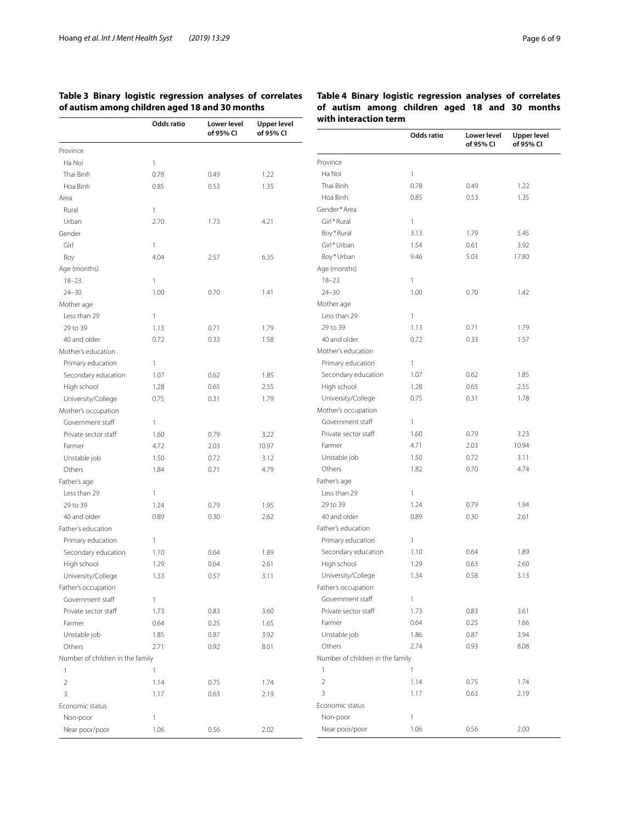## <span id="page-5-0"></span>**Table 3 Binary logistic regression analyses of correlates of autism among children aged 18 and 30 months**

|                                  | Odds ratio   | Lower level<br>of 95% CI | <b>Upper level</b><br>of 95% CI | with interaction term            |              |                          |                 |
|----------------------------------|--------------|--------------------------|---------------------------------|----------------------------------|--------------|--------------------------|-----------------|
|                                  |              |                          |                                 |                                  | Odds ratio   | Lower level<br>of 95% CI | Upper<br>of 959 |
| Province                         |              |                          |                                 |                                  |              |                          |                 |
| Ha Noi                           | $\mathbf{1}$ |                          |                                 | Province                         |              |                          |                 |
| Thai Binh                        | 0.78         | 0.49                     | 1.22                            | Ha Noi                           | 1            |                          |                 |
| Hoa Binh                         | 0.85         | 0.53                     | 1.35                            | Thai Binh                        | 0.78         | 0.49                     | 1.22            |
| Area                             |              |                          |                                 | Hoa Binh                         | 0.85         | 0.53                     | 1.35            |
| Rural                            | $\mathbf{1}$ |                          |                                 | Gender*Area                      |              |                          |                 |
| Urban                            | 2.70         | 1.73                     | 4.21                            | Girl*Rural                       | 1.           |                          |                 |
| Gender                           |              |                          |                                 | Boy*Rural                        | 3.13         | 1.79                     | 5.45            |
| Girl                             | $\mathbf{1}$ |                          |                                 | Girl*Urban                       | 1.54         | 0.61                     | 3.92            |
| Boy                              | 4.04         | 2.57                     | 6.35                            | Boy*Urban                        | 9.46         | 5.03                     | 17.80           |
| Age (months)                     |              |                          |                                 | Age (months)                     |              |                          |                 |
| $18 - 23$                        | $\mathbf{1}$ |                          |                                 | $18 - 23$                        | 1            |                          |                 |
| $24 - 30$                        | 1.00         | 0.70                     | 1.41                            | $24 - 30$                        | 1.00         | 0.70                     | 1.42            |
| Mother age                       |              |                          |                                 | Mother age                       |              |                          |                 |
| Less than 29                     | $\mathbf{1}$ |                          |                                 | Less than 29                     | 1            |                          |                 |
| 29 to 39                         | 1.13         | 0.71                     | 1.79                            | 29 to 39                         | 1.13         | 0.71                     | 1.79            |
| 40 and older                     | 0.72         | 0.33                     | 1.58                            | 40 and older                     | 0.72         | 0.33                     | 1.57            |
| Mother's education               |              |                          |                                 | Mother's education               |              |                          |                 |
| Primary education                | $\mathbf{1}$ |                          |                                 | Primary education                | $\mathbf{1}$ |                          |                 |
| Secondary education              | 1.07         | 0.62                     | 1.85                            | Secondary education              | 1.07         | 0.62                     | 1.85            |
| High school                      | 1.28         | 0.65                     | 2.55                            | High school                      | 1.28         | 0.65                     | 2.55            |
| University/College               | 0.75         | 0.31                     | 1.79                            | University/College               | 0.75         | 0.31                     | 1.78            |
| Mother's occupation              |              |                          |                                 | Mother's occupation              |              |                          |                 |
| Government staff                 | $\mathbf{1}$ |                          |                                 | Government staff                 | $\mathbf{1}$ |                          |                 |
| Private sector staff             | 1.60         | 0.79                     | 3.22                            | Private sector staff             | 1.60         | 0.79                     | 3.23            |
| Farmer                           | 4.72         | 2.03                     | 10.97                           | Farmer                           | 4.71         | 2.03                     | 10.94           |
| Unstable job                     | 1.50         | 0.72                     | 3.12                            | Unstable job                     | 1.50         | 0.72                     | 3.11            |
| Others                           | 1.84         | 0.71                     | 4.79                            | Others                           | 1.82         | 0.70                     | 4.74            |
| Father's age                     |              |                          |                                 | Father's age                     |              |                          |                 |
| Less than 29                     | $\mathbf{1}$ |                          |                                 | Less than 29                     | 1            |                          |                 |
| 29 to 39                         | 1.24         | 0.79                     | 1.95                            | 29 to 39                         | 1.24         | 0.79                     | 1.94            |
| 40 and older                     | 0.89         | 0.30                     | 2.62                            | 40 and older                     | 0.89         | 0.30                     | 2.61            |
| Father's education               |              |                          |                                 | Father's education               |              |                          |                 |
| Primary education                | $\mathbf{1}$ |                          |                                 | Primary education                | 1.           |                          |                 |
| Secondary education              | 1.10         | 0.64                     | 1.89                            | Secondary education              | 1.10         | 0.64                     | 1.89            |
| High school                      | 1.29         | 0.64                     | 2.61                            | High school                      | 1.29         | 0.63                     | 2.60            |
| University/College               | 1.33         | 0.57                     | 3.11                            | University/College               | 1.34         | 0.58                     | 3.13            |
| Father's occupation              |              |                          |                                 | Father's occupation              |              |                          |                 |
| Government staff                 | $\mathbf{1}$ |                          |                                 | Government staff                 | $\mathbf{1}$ |                          |                 |
| Private sector staff             | 1.73         | 0.83                     | 3.60                            | Private sector staff             | 1.73         | 0.83                     | 3.61            |
| Farmer                           | 0.64         | 0.25                     | 1.65                            | Farmer                           | 0.64         | 0.25                     | 1.66            |
| Unstable job                     | 1.85         | 0.87                     | 3.92                            | Unstable job                     | 1.86         | 0.87                     | 3.94            |
|                                  |              |                          | 8.01                            | Others                           | 2.74         | 0.93                     | 8.08            |
| Others                           | 2.71         | 0.92                     |                                 | Number of children in the family |              |                          |                 |
| Number of children in the family |              |                          |                                 |                                  |              |                          |                 |
| 1                                | $\mathbf{1}$ |                          |                                 | $\mathbf{1}$                     | $\mathbf{1}$ |                          |                 |
| $\overline{2}$                   | 1.14         | 0.75                     | 1.74                            | $\overline{2}$                   | 1.14         | 0.75                     | 1.74            |
| 3                                | 1.17         | 0.63                     | 2.19                            | 3                                | 1.17         | 0.63                     | 2.19            |
| Economic status                  |              |                          |                                 | Economic status                  |              |                          |                 |
| Non-poor                         | $\mathbf{1}$ |                          |                                 | Non-poor                         | 1            |                          |                 |
| Near poor/poor                   | 1.06         | 0.56                     | 2.02                            | Near poor/poor                   | 1.06         | 0.56                     | 2.00            |

**Upper level of 95% CI**

<span id="page-5-1"></span>**Table 4 Binary logistic regression analyses of correlates of autism among children aged 18 and 30 months**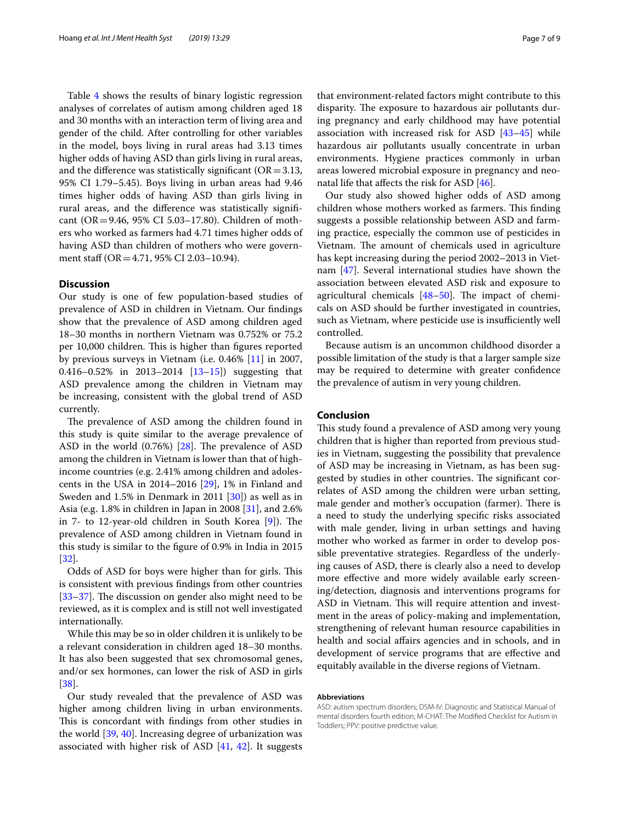Table [4](#page-5-1) shows the results of binary logistic regression analyses of correlates of autism among children aged 18 and 30 months with an interaction term of living area and gender of the child. After controlling for other variables in the model, boys living in rural areas had 3.13 times higher odds of having ASD than girls living in rural areas, and the difference was statistically significant ( $OR = 3.13$ , 95% CI 1.79–5.45). Boys living in urban areas had 9.46 times higher odds of having ASD than girls living in rural areas, and the diference was statistically signifcant (OR=9.46, 95% CI 5.03–17.80). Children of mothers who worked as farmers had 4.71 times higher odds of having ASD than children of mothers who were government staff (OR = 4.71, 95% CI 2.03-10.94).

## **Discussion**

Our study is one of few population-based studies of prevalence of ASD in children in Vietnam. Our fndings show that the prevalence of ASD among children aged 18–30 months in northern Vietnam was 0.752% or 75.2 per 10,000 children. This is higher than figures reported by previous surveys in Vietnam (i.e. 0.46% [[11\]](#page-7-10) in 2007, 0.416–0.52% in 2013–2014 [[13](#page-7-12)[–15](#page-7-14)]) suggesting that ASD prevalence among the children in Vietnam may be increasing, consistent with the global trend of ASD currently.

The prevalence of ASD among the children found in this study is quite similar to the average prevalence of ASD in the world  $(0.76%)$  [\[28](#page-8-0)]. The prevalence of ASD among the children in Vietnam is lower than that of highincome countries (e.g. 2.41% among children and adolescents in the USA in 2014–2016 [[29](#page-8-1)], 1% in Finland and Sweden and 1.5% in Denmark in 2011 [\[30\]](#page-8-2)) as well as in Asia (e.g. 1.8% in children in Japan in 2008 [\[31](#page-8-3)], and 2.6% in  $7-$  to 12-year-old children in South Korea  $[9]$  $[9]$ ). The prevalence of ASD among children in Vietnam found in this study is similar to the fgure of 0.9% in India in 2015 [[32\]](#page-8-4).

Odds of ASD for boys were higher than for girls. This is consistent with previous fndings from other countries  $[33-37]$  $[33-37]$  $[33-37]$ . The discussion on gender also might need to be reviewed, as it is complex and is still not well investigated internationally.

While this may be so in older children it is unlikely to be a relevant consideration in children aged 18–30 months. It has also been suggested that sex chromosomal genes, and/or sex hormones, can lower the risk of ASD in girls [[38\]](#page-8-7).

Our study revealed that the prevalence of ASD was higher among children living in urban environments. This is concordant with findings from other studies in the world [[39,](#page-8-8) [40](#page-8-9)]. Increasing degree of urbanization was associated with higher risk of ASD [[41](#page-8-10), [42](#page-8-11)]. It suggests that environment-related factors might contribute to this disparity. The exposure to hazardous air pollutants during pregnancy and early childhood may have potential association with increased risk for ASD [\[43](#page-8-12)[–45](#page-8-13)] while hazardous air pollutants usually concentrate in urban environments. Hygiene practices commonly in urban areas lowered microbial exposure in pregnancy and neonatal life that afects the risk for ASD [[46\]](#page-8-14).

Our study also showed higher odds of ASD among children whose mothers worked as farmers. This finding suggests a possible relationship between ASD and farming practice, especially the common use of pesticides in Vietnam. The amount of chemicals used in agriculture has kept increasing during the period 2002–2013 in Vietnam [\[47\]](#page-8-15). Several international studies have shown the association between elevated ASD risk and exposure to agricultural chemicals  $[48-50]$  $[48-50]$  $[48-50]$ . The impact of chemicals on ASD should be further investigated in countries, such as Vietnam, where pesticide use is insufficiently well controlled.

Because autism is an uncommon childhood disorder a possible limitation of the study is that a larger sample size may be required to determine with greater confdence the prevalence of autism in very young children.

## **Conclusion**

This study found a prevalence of ASD among very young children that is higher than reported from previous studies in Vietnam, suggesting the possibility that prevalence of ASD may be increasing in Vietnam, as has been suggested by studies in other countries. The significant correlates of ASD among the children were urban setting, male gender and mother's occupation (farmer). There is a need to study the underlying specifc risks associated with male gender, living in urban settings and having mother who worked as farmer in order to develop possible preventative strategies. Regardless of the underlying causes of ASD, there is clearly also a need to develop more efective and more widely available early screening/detection, diagnosis and interventions programs for ASD in Vietnam. This will require attention and investment in the areas of policy-making and implementation, strengthening of relevant human resource capabilities in health and social afairs agencies and in schools, and in development of service programs that are efective and equitably available in the diverse regions of Vietnam.

#### **Abbreviations**

ASD: autism spectrum disorders; DSM-IV: Diagnostic and Statistical Manual of mental disorders fourth edition; M-CHAT: The Modifed Checklist for Autism in Toddlers; PPV: positive predictive value.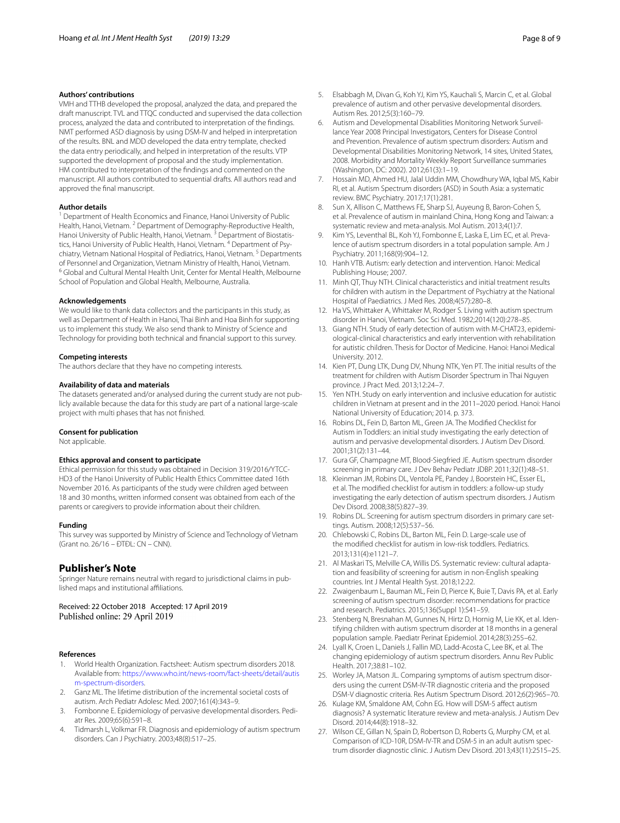## **Authors' contributions**

VMH and TTHB developed the proposal, analyzed the data, and prepared the draft manuscript. TVL and TTQC conducted and supervised the data collection process, analyzed the data and contributed to interpretation of the fndings. NMT performed ASD diagnosis by using DSM-IV and helped in interpretation of the results. BNL and MDD developed the data entry template, checked the data entry periodically, and helped in interpretation of the results. VTP supported the development of proposal and the study implementation. HM contributed to interpretation of the fndings and commented on the manuscript. All authors contributed to sequential drafts. All authors read and approved the fnal manuscript.

#### **Author details**

<sup>1</sup> Department of Health Economics and Finance, Hanoi University of Public Health, Hanoi, Vietnam. <sup>2</sup> Department of Demography-Reproductive Health, Hanoi University of Public Health, Hanoi, Vietnam.<sup>3</sup> Department of Biostatistics, Hanoi University of Public Health, Hanoi, Vietnam. <sup>4</sup> Department of Psychiatry, Vietnam National Hospital of Pediatrics, Hanoi, Vietnam.<sup>5</sup> Departments of Personnel and Organization, Vietnam Ministry of Health, Hanoi, Vietnam.<br><sup>6</sup> Global and Cultural Mental Health Unit, Center for Mental Health, Melbourne School of Population and Global Health, Melbourne, Australia.

#### **Acknowledgements**

We would like to thank data collectors and the participants in this study, as well as Department of Health in Hanoi, Thai Binh and Hoa Binh for supporting us to implement this study. We also send thank to Ministry of Science and Technology for providing both technical and fnancial support to this survey.

### **Competing interests**

The authors declare that they have no competing interests.

#### **Availability of data and materials**

The datasets generated and/or analysed during the current study are not publicly available because the data for this study are part of a national large-scale project with multi phases that has not fnished.

#### **Consent for publication**

Not applicable.

#### **Ethics approval and consent to participate**

Ethical permission for this study was obtained in Decision 319/2016/YTCC-HD3 of the Hanoi University of Public Health Ethics Committee dated 16th November 2016. As participants of the study were children aged between 18 and 30 months, written informed consent was obtained from each of the parents or caregivers to provide information about their children.

#### **Funding**

This survey was supported by Ministry of Science and Technology of Vietnam (Grant no. 26/16 – ĐTĐL: CN – CNN).

## **Publisher's Note**

Springer Nature remains neutral with regard to jurisdictional claims in published maps and institutional afliations.

Received: 22 October 2018 Accepted: 17 April 2019 Published online: 29 April 2019

#### **References**

- <span id="page-7-0"></span>1. World Health Organization. Factsheet: Autism spectrum disorders 2018. Available from: [https://www.who.int/news-room/fact-sheets/detail/autis](https://www.who.int/news-room/fact-sheets/detail/autism-spectrum-disorders) [m-spectrum-disorders](https://www.who.int/news-room/fact-sheets/detail/autism-spectrum-disorders).
- <span id="page-7-1"></span>2. Ganz ML. The lifetime distribution of the incremental societal costs of autism. Arch Pediatr Adolesc Med. 2007;161(4):343–9.
- <span id="page-7-2"></span>3. Fombonne E. Epidemiology of pervasive developmental disorders. Pediatr Res. 2009;65(6):591–8.
- <span id="page-7-3"></span>Tidmarsh L, Volkmar FR. Diagnosis and epidemiology of autism spectrum disorders. Can J Psychiatry. 2003;48(8):517–25.
- <span id="page-7-4"></span>5. Elsabbagh M, Divan G, Koh YJ, Kim YS, Kauchali S, Marcin C, et al. Global prevalence of autism and other pervasive developmental disorders. Autism Res. 2012;5(3):160–79.
- <span id="page-7-5"></span>6. Autism and Developmental Disabilities Monitoring Network Surveillance Year 2008 Principal Investigators, Centers for Disease Control and Prevention. Prevalence of autism spectrum disorders: Autism and Developmental Disabilities Monitoring Network, 14 sites, United States, 2008. Morbidity and Mortality Weekly Report Surveillance summaries (Washington, DC: 2002). 2012;61(3):1–19.
- <span id="page-7-6"></span>7. Hossain MD, Ahmed HU, Jalal Uddin MM, Chowdhury WA, Iqbal MS, Kabir RI, et al. Autism Spectrum disorders (ASD) in South Asia: a systematic review. BMC Psychiatry. 2017;17(1):281.
- <span id="page-7-7"></span>8. Sun X, Allison C, Matthews FE, Sharp SJ, Auyeung B, Baron-Cohen S, et al. Prevalence of autism in mainland China, Hong Kong and Taiwan: a systematic review and meta-analysis. Mol Autism. 2013;4(1):7.
- <span id="page-7-8"></span>Kim YS, Leventhal BL, Koh YJ, Fombonne E, Laska E, Lim EC, et al. Prevalence of autism spectrum disorders in a total population sample. Am J Psychiatry. 2011;168(9):904–12.
- <span id="page-7-9"></span>10. Hanh VTB. Autism: early detection and intervention. Hanoi: Medical Publishing House; 2007.
- <span id="page-7-10"></span>11. Minh QT, Thuy NTH. Clinical characteristics and initial treatment results for children with autism in the Department of Psychiatry at the National Hospital of Paediatrics. J Med Res. 2008;4(57):280–8.
- <span id="page-7-11"></span>12. Ha VS, Whittaker A, Whittaker M, Rodger S. Living with autism spectrum disorder in Hanoi, Vietnam. Soc Sci Med. 1982;2014(120):278–85.
- <span id="page-7-12"></span>13. Giang NTH. Study of early detection of autism with M-CHAT23, epidemiological-clinical characteristics and early intervention with rehabilitation for autistic children. Thesis for Doctor of Medicine. Hanoi: Hanoi Medical University. 2012.
- <span id="page-7-13"></span>14. Kien PT, Dung LTK, Dung DV, Nhung NTK, Yen PT. The initial results of the treatment for children with Autism Disorder Spectrum in Thai Nguyen province. J Pract Med. 2013;12:24–7.
- <span id="page-7-14"></span>15. Yen NTH. Study on early intervention and inclusive education for autistic children in Vietnam at present and in the 2011–2020 period. Hanoi: Hanoi National University of Education; 2014. p. 373.
- <span id="page-7-15"></span>16. Robins DL, Fein D, Barton ML, Green JA. The Modifed Checklist for Autism in Toddlers: an initial study investigating the early detection of autism and pervasive developmental disorders. J Autism Dev Disord. 2001;31(2):131–44.
- <span id="page-7-16"></span>17. Gura GF, Champagne MT, Blood-Siegfried JE. Autism spectrum disorder screening in primary care. J Dev Behav Pediatr JDBP. 2011;32(1):48–51.
- <span id="page-7-17"></span>18. Kleinman JM, Robins DL, Ventola PE, Pandey J, Boorstein HC, Esser EL, et al. The modifed checklist for autism in toddlers: a follow-up study investigating the early detection of autism spectrum disorders. J Autism Dev Disord. 2008;38(5):827–39.
- 19. Robins DL. Screening for autism spectrum disorders in primary care settings. Autism. 2008;12(5):537–56.
- <span id="page-7-18"></span>20. Chlebowski C, Robins DL, Barton ML, Fein D. Large-scale use of the modifed checklist for autism in low-risk toddlers. Pediatrics. 2013;131(4):e1121–7.
- <span id="page-7-19"></span>21. Al Maskari TS, Melville CA, Willis DS. Systematic review: cultural adaptation and feasibility of screening for autism in non-English speaking countries. Int J Mental Health Syst. 2018;12:22.
- <span id="page-7-20"></span>22. Zwaigenbaum L, Bauman ML, Fein D, Pierce K, Buie T, Davis PA, et al. Early screening of autism spectrum disorder: recommendations for practice and research. Pediatrics. 2015;136(Suppl 1):S41–59.
- <span id="page-7-21"></span>23. Stenberg N, Bresnahan M, Gunnes N, Hirtz D, Hornig M, Lie KK, et al. Identifying children with autism spectrum disorder at 18 months in a general population sample. Paediatr Perinat Epidemiol. 2014;28(3):255–62.
- <span id="page-7-22"></span>24. Lyall K, Croen L, Daniels J, Fallin MD, Ladd-Acosta C, Lee BK, et al. The changing epidemiology of autism spectrum disorders. Annu Rev Public Health. 2017;38:81–102.
- <span id="page-7-23"></span>25. Worley JA, Matson JL. Comparing symptoms of autism spectrum disorders using the current DSM-IV-TR diagnostic criteria and the proposed DSM-V diagnostic criteria. Res Autism Spectrum Disord. 2012;6(2):965–70.
- 26. Kulage KM, Smaldone AM, Cohn EG. How will DSM-5 affect autism diagnosis? A systematic literature review and meta-analysis. J Autism Dev Disord. 2014;44(8):1918–32.
- <span id="page-7-24"></span>27. Wilson CE, Gillan N, Spain D, Robertson D, Roberts G, Murphy CM, et al. Comparison of ICD-10R, DSM-IV-TR and DSM-5 in an adult autism spectrum disorder diagnostic clinic. J Autism Dev Disord. 2013;43(11):2515–25.